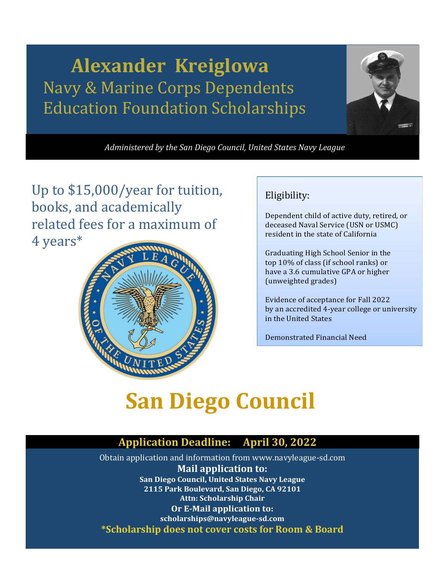## **Alexander Kreiglowa**  Navy & Marine Corps Dependents Education Foundation Scholarships



*Administered by the San Diego Council, United States Navy League*

Up to \$15,000/year for tuition, books, and academically related fees for a maximum of 4 years\*



#### Eligibility:

Dependent child of active duty, retired, or deceased Naval Service (USN or USMC) resident in the state of California

Graduating High School Senior in the top 10% of class (if school ranks) or have a 3.6 cumulative GPA or higher (unweighted grades)

Evidence of acceptance for Fall 2022 by an accredited 4-year college or university in the United States

Demonstrated Financial Need

# **San Diego Council**

### **Application Deadline: April 30, 2022**

Obtain application and information from [www.navyleague-sd.com](http://www.navyleague-sd.com/) **Mail application to: San Diego Council, United States Navy League 2115 Park Boulevard, San Diego, CA 92101 Attn: Scholarship Chair Or E-Mail application to: scholarships@navyleague-sd.com \*Scholarship does not cover costs for Room & Board**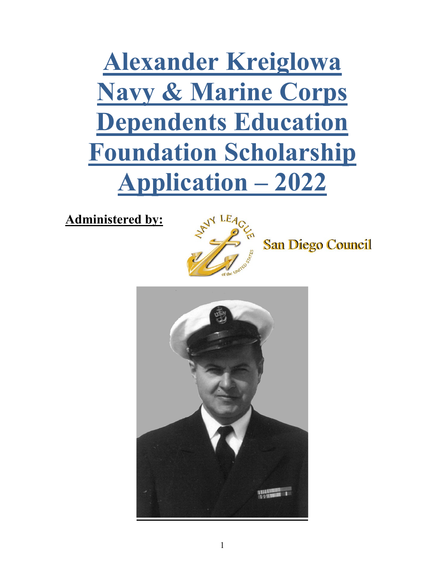**Alexander Kreiglowa Navy & Marine Corps Dependents Education Foundation Scholarship Application – 2022**

**Administered by:**



**San Diego Council** 

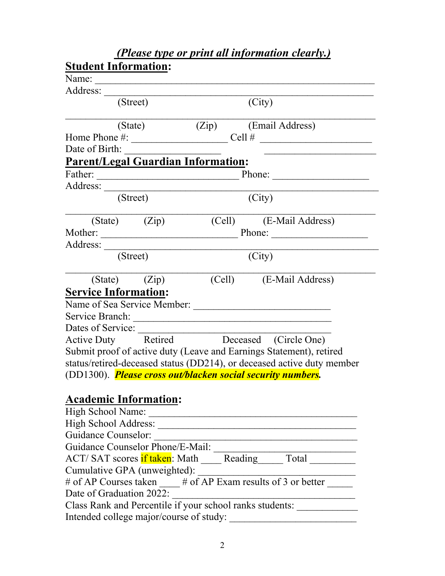| <b>Student Information:</b>      |          |                   |                                           |                                                                                                |
|----------------------------------|----------|-------------------|-------------------------------------------|------------------------------------------------------------------------------------------------|
| Name:                            |          |                   |                                           |                                                                                                |
| Address:                         |          |                   |                                           |                                                                                                |
|                                  | (Street) |                   |                                           | (City)                                                                                         |
|                                  | (State)  |                   |                                           | (Zip) (Email Address)                                                                          |
|                                  |          |                   |                                           | Home Phone $\#$ : $\qquad \qquad$ Cell $\#$                                                    |
| Date of Birth:                   |          |                   |                                           |                                                                                                |
|                                  |          |                   | <b>Parent/Legal Guardian Information:</b> |                                                                                                |
| Father:                          |          |                   |                                           | Phone:                                                                                         |
|                                  |          |                   |                                           |                                                                                                |
|                                  | (Street) |                   |                                           | (City)                                                                                         |
|                                  |          | $(State)$ $(Zip)$ |                                           | (Cell) (E-Mail Address)                                                                        |
|                                  |          |                   |                                           |                                                                                                |
|                                  |          |                   |                                           |                                                                                                |
|                                  | (Street) |                   |                                           | (City)                                                                                         |
|                                  |          |                   |                                           |                                                                                                |
|                                  |          | $(State)$ $(Zip)$ |                                           | (Cell) (E-Mail Address)                                                                        |
| <b>Service Information:</b>      |          |                   |                                           |                                                                                                |
|                                  |          |                   |                                           | Name of Sea Service Member:                                                                    |
|                                  |          |                   |                                           |                                                                                                |
| Dates of Service:                |          |                   |                                           |                                                                                                |
|                                  |          |                   |                                           | Active Duty Retired Deceased (Circle One)                                                      |
|                                  |          |                   |                                           | Submit proof of active duty (Leave and Earnings Statement), retired                            |
|                                  |          |                   |                                           | status/retired-deceased status (DD214), or deceased active duty member                         |
|                                  |          |                   |                                           | (DD1300). <i>Please cross out/blacken social security numbers.</i>                             |
|                                  |          |                   |                                           |                                                                                                |
| <b>Academic Information:</b>     |          |                   |                                           |                                                                                                |
| High School Name:                |          |                   |                                           |                                                                                                |
|                                  |          |                   |                                           |                                                                                                |
| <b>Guidance Counselor:</b>       |          |                   |                                           | the control of the control of the control of the control of the control of the control of      |
| Guidance Counselor Phone/E-Mail: |          |                   |                                           |                                                                                                |
|                                  |          |                   |                                           | ACT/SAT scores if taken: Math _____Reading______ Total __________                              |
|                                  |          |                   |                                           |                                                                                                |
|                                  |          |                   |                                           | Cumulative GPA (unweighted):<br># of AP Courses taken ____ # of AP Exam results of 3 or better |
| Date of Graduation 2022:         |          |                   |                                           |                                                                                                |
|                                  |          |                   |                                           | Class Rank and Percentile if your school ranks students:                                       |
|                                  |          |                   | Intended college major/course of study:   |                                                                                                |
|                                  |          |                   |                                           |                                                                                                |

*(Please type or print all information clearly.)*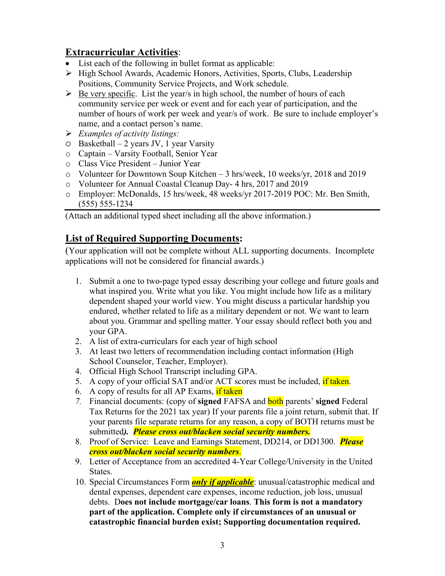#### **Extracurricular Activities**:

- List each of the following in bullet format as applicable:
- ▶ High School Awards, Academic Honors, Activities, Sports, Clubs, Leadership Positions, Community Service Projects, and Work schedule.
- $\triangleright$  Be very specific. List the year/s in high school, the number of hours of each community service per week or event and for each year of participation, and the number of hours of work per week and year/s of work. Be sure to include employer's name, and a contact person's name.
- *Examples of activity listings:*
- $O$  Basketball 2 years JV, 1 year Varsity
- o Captain Varsity Football, Senior Year
- o Class Vice President Junior Year
- o Volunteer for Downtown Soup Kitchen 3 hrs/week, 10 weeks/yr, 2018 and 2019
- o Volunteer for Annual Coastal Cleanup Day- 4 hrs, 2017 and 2019
- o Employer: McDonalds, 15 hrs/week, 48 weeks/yr 2017-2019 POC: Mr. Ben Smith, (555) 555-1234

(Attach an additional typed sheet including all the above information.)

#### **List of Required Supporting Documents:**

(Your application will not be complete without ALL supporting documents. Incomplete applications will not be considered for financial awards.)

- 1. Submit a one to two-page typed essay describing your college and future goals and what inspired you. Write what you like. You might include how life as a military dependent shaped your world view. You might discuss a particular hardship you endured, whether related to life as a military dependent or not. We want to learn about you. Grammar and spelling matter. Your essay should reflect both you and your GPA.
- 2. A list of extra-curriculars for each year of high school
- 3. At least two letters of recommendation including contact information (High School Counselor, Teacher, Employer).
- 4. Official High School Transcript including GPA.
- 5. A copy of your official SAT and/or ACT scores must be included, if taken.
- 6. A copy of results for all AP Exams, if taken
- *7.* Financial documents: (copy of **signed** FAFSA and both parents' **signed** Federal Tax Returns for the 2021 tax year) If your parents file a joint return, submit that. If your parents file separate returns for any reason, a copy of BOTH returns must be submitted*). Please cross out/blacken social security numbers.*
- 8. Proof of Service: Leave and Earnings Statement, DD214, or DD1300. *Please cross out/blacken social security numbers*.
- 9. Letter of Acceptance from an accredited 4-Year College/University in the United States.
- 10. Special Circumstances Form *only if applicable*: unusual/catastrophic medical and dental expenses, dependent care expenses, income reduction, job loss, unusual debts. D**oes not include mortgage/car loans**. **This form is not a mandatory part of the application. Complete only if circumstances of an unusual or catastrophic financial burden exist; Supporting documentation required.**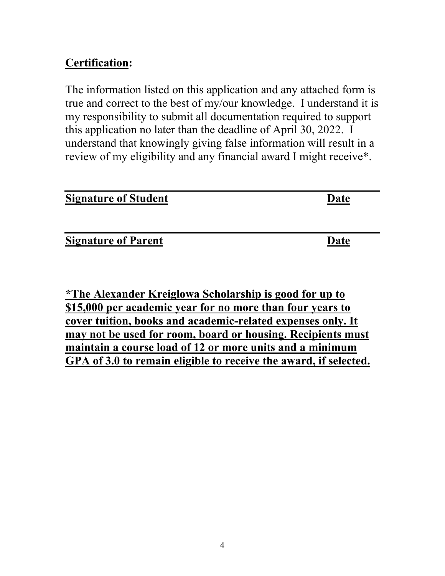## **Certification:**

The information listed on this application and any attached form is true and correct to the best of my/our knowledge. I understand it is my responsibility to submit all documentation required to support this application no later than the deadline of April 30, 2022. I understand that knowingly giving false information will result in a review of my eligibility and any financial award I might receive\*.

| <b>Signature of Student</b> | Date |
|-----------------------------|------|
|                             |      |
| <b>Signature of Parent</b>  | Date |

**\*The Alexander Kreiglowa Scholarship is good for up to \$15,000 per academic year for no more than four years to cover tuition, books and academic-related expenses only. It may not be used for room, board or housing. Recipients must maintain a course load of 12 or more units and a minimum GPA of 3.0 to remain eligible to receive the award, if selected.**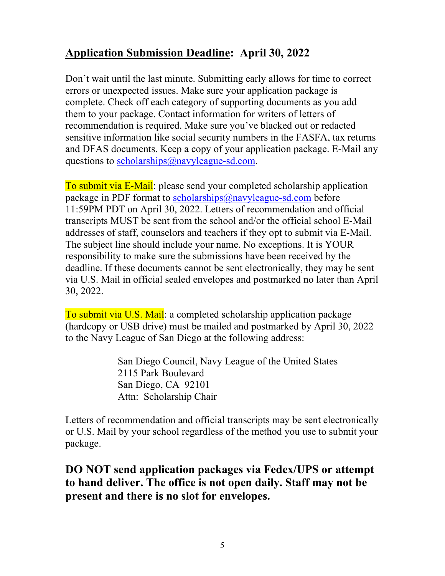## **Application Submission Deadline: April 30, 2022**

Don't wait until the last minute. Submitting early allows for time to correct errors or unexpected issues. Make sure your application package is complete. Check off each category of supporting documents as you add them to your package. Contact information for writers of letters of recommendation is required. Make sure you've blacked out or redacted sensitive information like social security numbers in the FASFA, tax returns and DFAS documents. Keep a copy of your application package. E-Mail any questions to [scholarships@navyleague-sd.com.](mailto:scholarships@navyleague-sd.com)

To submit via E-Mail: please send your completed scholarship application package in PDF format to [scholarships@navyleague-sd.com](mailto:scholarships@navyleague-sd.com) before 11:59PM PDT on April 30, 2022. Letters of recommendation and official transcripts MUST be sent from the school and/or the official school E-Mail addresses of staff, counselors and teachers if they opt to submit via E-Mail. The subject line should include your name. No exceptions. It is YOUR responsibility to make sure the submissions have been received by the deadline. If these documents cannot be sent electronically, they may be sent via U.S. Mail in official sealed envelopes and postmarked no later than April 30, 2022.

To submit via U.S. Mail: a completed scholarship application package (hardcopy or USB drive) must be mailed and postmarked by April 30, 2022 to the Navy League of San Diego at the following address:

> San Diego Council, Navy League of the United States 2115 Park Boulevard San Diego, CA 92101 Attn: Scholarship Chair

Letters of recommendation and official transcripts may be sent electronically or U.S. Mail by your school regardless of the method you use to submit your package.

### **DO NOT send application packages via Fedex/UPS or attempt to hand deliver. The office is not open daily. Staff may not be present and there is no slot for envelopes.**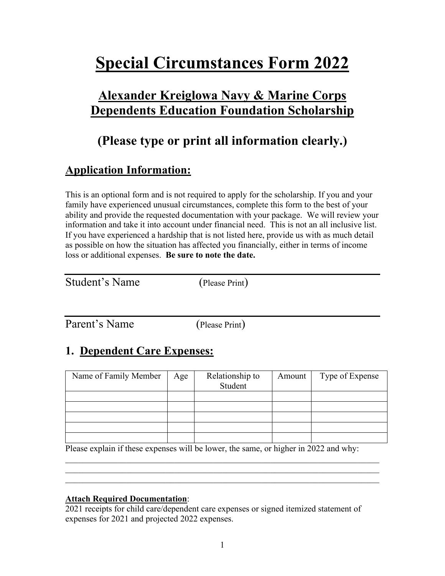## **Special Circumstances Form 2022**

## **Alexander Kreiglowa Navy & Marine Corps Dependents Education Foundation Scholarship**

## **(Please type or print all information clearly.)**

## **Application Information:**

This is an optional form and is not required to apply for the scholarship. If you and your family have experienced unusual circumstances, complete this form to the best of your ability and provide the requested documentation with your package. We will review your information and take it into account under financial need. This is not an all inclusive list. If you have experienced a hardship that is not listed here, provide us with as much detail as possible on how the situation has affected you financially, either in terms of income loss or additional expenses. **Be sure to note the date.**

(Please Print)

Parent's Name (Please Print)

## **1. Dependent Care Expenses:**

| Name of Family Member | Age | Relationship to<br>Student | Amount | Type of Expense |
|-----------------------|-----|----------------------------|--------|-----------------|
|                       |     |                            |        |                 |
|                       |     |                            |        |                 |
|                       |     |                            |        |                 |
|                       |     |                            |        |                 |
|                       |     |                            |        |                 |

Please explain if these expenses will be lower, the same, or higher in 2022 and why:

 $\mathcal{L}_\text{G}$  , and the contribution of the contribution of the contribution of the contribution of the contribution of the contribution of the contribution of the contribution of the contribution of the contribution of t  $\mathcal{L}_\text{max} = \mathcal{L}_\text{max} = \mathcal{L}_\text{max} = \mathcal{L}_\text{max} = \mathcal{L}_\text{max} = \mathcal{L}_\text{max} = \mathcal{L}_\text{max} = \mathcal{L}_\text{max} = \mathcal{L}_\text{max} = \mathcal{L}_\text{max} = \mathcal{L}_\text{max} = \mathcal{L}_\text{max} = \mathcal{L}_\text{max} = \mathcal{L}_\text{max} = \mathcal{L}_\text{max} = \mathcal{L}_\text{max} = \mathcal{L}_\text{max} = \mathcal{L}_\text{max} = \mathcal{$ 

#### **Attach Required Documentation**:

2021 receipts for child care/dependent care expenses or signed itemized statement of expenses for 2021 and projected 2022 expenses.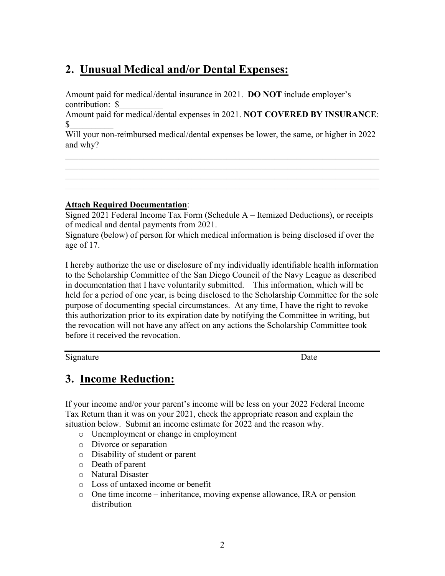## **2. Unusual Medical and/or Dental Expenses:**

Amount paid for medical/dental insurance in 2021. **DO NOT** include employer's contribution: \$\_\_\_\_\_\_\_\_\_\_

Amount paid for medical/dental expenses in 2021. **NOT COVERED BY INSURANCE**:  $\frac{1}{2}$ 

Will your non-reimbursed medical/dental expenses be lower, the same, or higher in 2022 and why?

 $\mathcal{L}_\text{G}$  , and the contribution of the contribution of the contribution of the contribution of the contribution of the contribution of the contribution of the contribution of the contribution of the contribution of t

 $\mathcal{L}_\text{G}$  , and the contribution of the contribution of the contribution of the contribution of the contribution of the contribution of the contribution of the contribution of the contribution of the contribution of t

#### **Attach Required Documentation**:

Signed 2021 Federal Income Tax Form (Schedule A – Itemized Deductions), or receipts of medical and dental payments from 2021.

Signature (below) of person for which medical information is being disclosed if over the age of 17.

I hereby authorize the use or disclosure of my individually identifiable health information to the Scholarship Committee of the San Diego Council of the Navy League as described in documentation that I have voluntarily submitted. This information, which will be held for a period of one year, is being disclosed to the Scholarship Committee for the sole purpose of documenting special circumstances. At any time, I have the right to revoke this authorization prior to its expiration date by notifying the Committee in writing, but the revocation will not have any affect on any actions the Scholarship Committee took before it received the revocation.

Signature Date

### **3. Income Reduction:**

If your income and/or your parent's income will be less on your 2022 Federal Income Tax Return than it was on your 2021, check the appropriate reason and explain the situation below. Submit an income estimate for 2022 and the reason why.

- o Unemployment or change in employment
- o Divorce or separation
- o Disability of student or parent
- o Death of parent
- o Natural Disaster
- o Loss of untaxed income or benefit
- $\circ$  One time income inheritance, moving expense allowance, IRA or pension distribution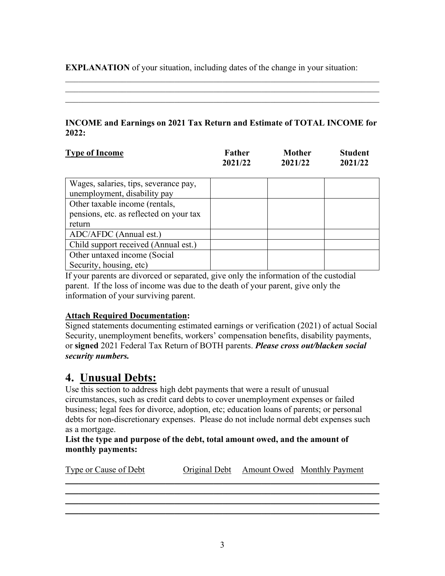**EXPLANATION** of your situation, including dates of the change in your situation:

#### **INCOME and Earnings on 2021 Tax Return and Estimate of TOTAL INCOME for 2022:**

 $\mathcal{L}_\text{G}$  , and the contribution of the contribution of the contribution of the contribution of the contribution of the contribution of the contribution of the contribution of the contribution of the contribution of t  $\mathcal{L}_\text{G}$  , and the contribution of the contribution of the contribution of the contribution of the contribution of the contribution of the contribution of the contribution of the contribution of the contribution of t

| <b>Type of Income</b> | Father  | <b>Mother</b> | <b>Student</b> |
|-----------------------|---------|---------------|----------------|
|                       | 2021/22 | 2021/22       | 2021/22        |

| Wages, salaries, tips, severance pay,   |  |  |
|-----------------------------------------|--|--|
| unemployment, disability pay            |  |  |
| Other taxable income (rentals,          |  |  |
| pensions, etc. as reflected on your tax |  |  |
| return                                  |  |  |
| ADC/AFDC (Annual est.)                  |  |  |
| Child support received (Annual est.)    |  |  |
| Other untaxed income (Social            |  |  |
| Security, housing, etc)                 |  |  |

If your parents are divorced or separated, give only the information of the custodial parent. If the loss of income was due to the death of your parent, give only the information of your surviving parent.

#### **Attach Required Documentation:**

Signed statements documenting estimated earnings or verification (2021) of actual Social Security, unemployment benefits, workers' compensation benefits, disability payments, or **signed** 2021 Federal Tax Return of BOTH parents. *Please cross out/blacken social security numbers.*

### **4. Unusual Debts:**

Use this section to address high debt payments that were a result of unusual circumstances, such as credit card debts to cover unemployment expenses or failed business; legal fees for divorce, adoption, etc; education loans of parents; or personal debts for non-discretionary expenses. Please do not include normal debt expenses such as a mortgage.

#### **List the type and purpose of the debt, total amount owed, and the amount of monthly payments:**

| Type or Cause of Debt |  | Original Debt Amount Owed Monthly Payment |
|-----------------------|--|-------------------------------------------|
|                       |  |                                           |
|                       |  |                                           |
|                       |  |                                           |